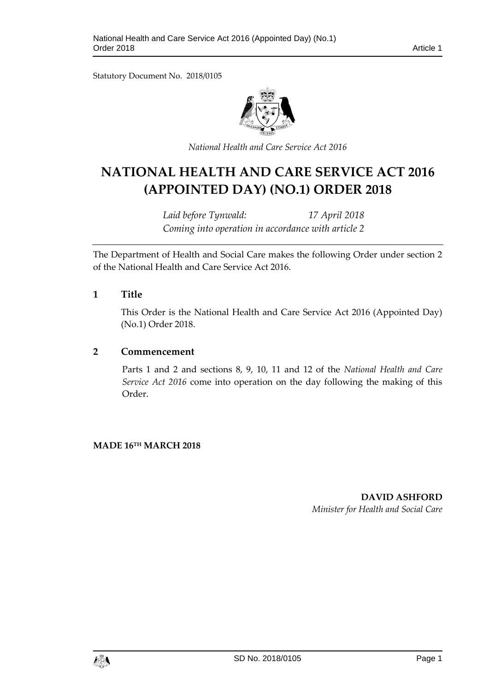Statutory Document No. 2018/0105



*National Health and Care Service Act 2016*

# **NATIONAL HEALTH AND CARE SERVICE ACT 2016 (APPOINTED DAY) (NO.1) ORDER 2018**

*Laid before Tynwald: 17 April 2018 Coming into operation in accordance with article 2*

The Department of Health and Social Care makes the following Order under section 2 of the National Health and Care Service Act 2016.

#### **1 Title**

This Order is the National Health and Care Service Act 2016 (Appointed Day) (No.1) Order 2018.

#### **2 Commencement**

Parts 1 and 2 and sections 8, 9, 10, 11 and 12 of the *National Health and Care Service Act 2016* come into operation on the day following the making of this Order.

**MADE 16TH MARCH 2018**

**DAVID ASHFORD** *Minister for Health and Social Care*